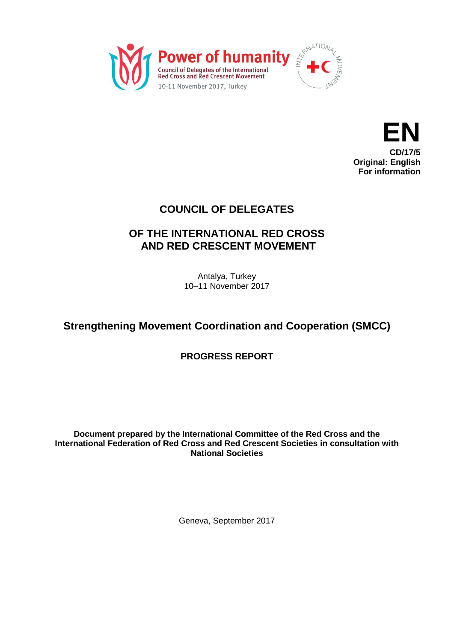



### **COUNCIL OF DELEGATES**

## **OF THE INTERNATIONAL RED CROSS AND RED CRESCENT MOVEMENT**

Antalya, Turkey 10–11 November 2017

## **Strengthening Movement Coordination and Cooperation (SMCC)**

**PROGRESS REPORT**

#### **Document prepared by the International Committee of the Red Cross and the International Federation of Red Cross and Red Crescent Societies in consultation with National Societies**

Geneva, September 2017